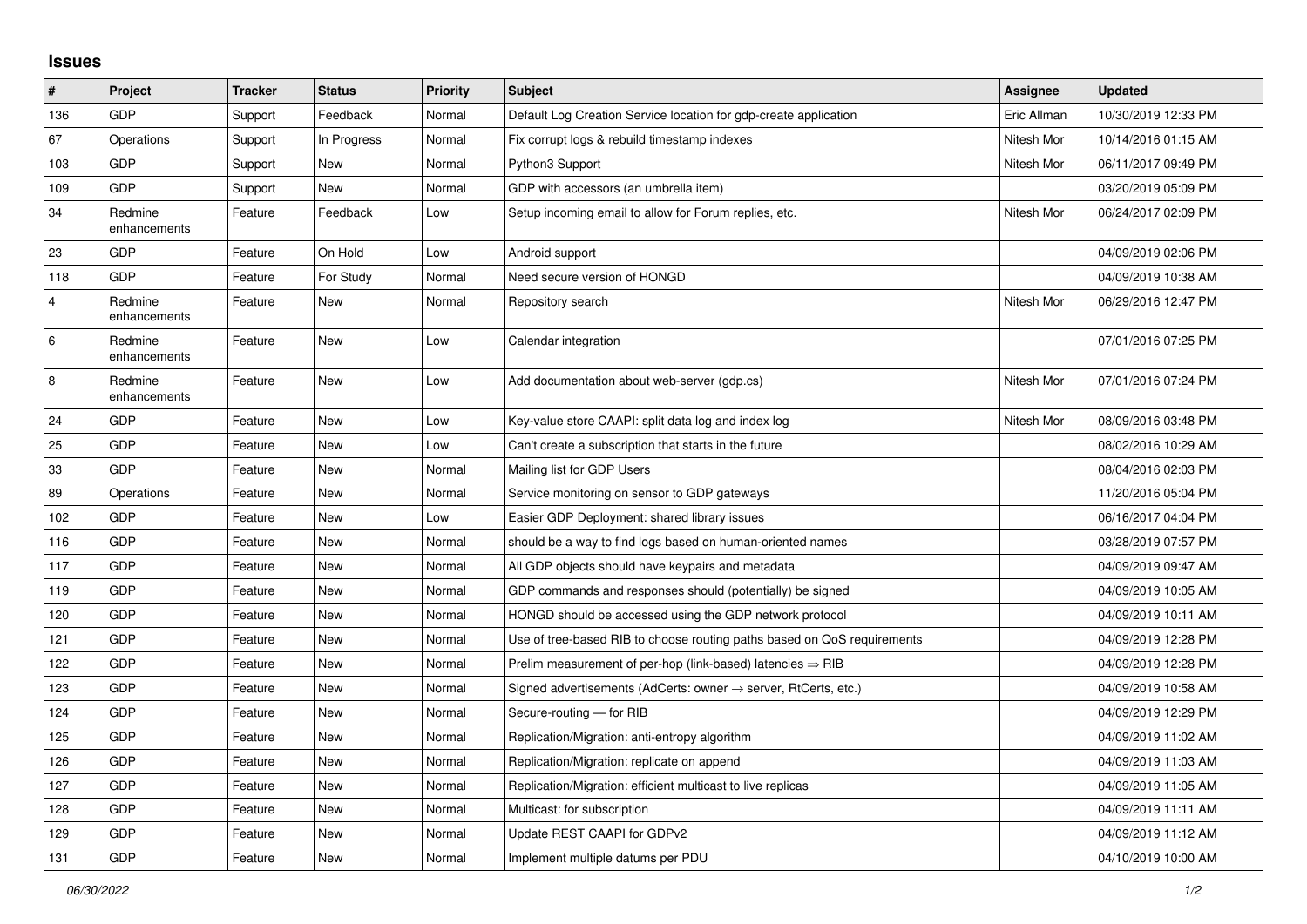## **Issues**

| $\vert$ #      | Project                 | <b>Tracker</b> | <b>Status</b> | <b>Priority</b> | <b>Subject</b>                                                          | Assignee    | <b>Updated</b>      |
|----------------|-------------------------|----------------|---------------|-----------------|-------------------------------------------------------------------------|-------------|---------------------|
| 136            | <b>GDP</b>              | Support        | Feedback      | Normal          | Default Log Creation Service location for gdp-create application        | Eric Allman | 10/30/2019 12:33 PM |
| 67             | Operations              | Support        | In Progress   | Normal          | Fix corrupt logs & rebuild timestamp indexes                            | Nitesh Mor  | 10/14/2016 01:15 AM |
| 103            | <b>GDP</b>              | Support        | <b>New</b>    | Normal          | Python3 Support                                                         | Nitesh Mor  | 06/11/2017 09:49 PM |
| 109            | <b>GDP</b>              | Support        | <b>New</b>    | Normal          | GDP with accessors (an umbrella item)                                   |             | 03/20/2019 05:09 PM |
| 34             | Redmine<br>enhancements | Feature        | Feedback      | Low             | Setup incoming email to allow for Forum replies, etc.                   | Nitesh Mor  | 06/24/2017 02:09 PM |
| 23             | <b>GDP</b>              | Feature        | On Hold       | Low             | Android support                                                         |             | 04/09/2019 02:06 PM |
| 118            | <b>GDP</b>              | Feature        | For Study     | Normal          | Need secure version of HONGD                                            |             | 04/09/2019 10:38 AM |
| $\overline{4}$ | Redmine<br>enhancements | Feature        | <b>New</b>    | Normal          | Repository search                                                       | Nitesh Mor  | 06/29/2016 12:47 PM |
| 6              | Redmine<br>enhancements | Feature        | <b>New</b>    | Low             | Calendar integration                                                    |             | 07/01/2016 07:25 PM |
| $\,8\,$        | Redmine<br>enhancements | Feature        | <b>New</b>    | Low             | Add documentation about web-server (gdp.cs)                             | Nitesh Mor  | 07/01/2016 07:24 PM |
| 24             | <b>GDP</b>              | Feature        | <b>New</b>    | Low             | Key-value store CAAPI: split data log and index log                     | Nitesh Mor  | 08/09/2016 03:48 PM |
| 25             | <b>GDP</b>              | Feature        | <b>New</b>    | Low             | Can't create a subscription that starts in the future                   |             | 08/02/2016 10:29 AM |
| 33             | <b>GDP</b>              | Feature        | New           | Normal          | Mailing list for GDP Users                                              |             | 08/04/2016 02:03 PM |
| 89             | Operations              | Feature        | <b>New</b>    | Normal          | Service monitoring on sensor to GDP gateways                            |             | 11/20/2016 05:04 PM |
| 102            | GDP                     | Feature        | <b>New</b>    | Low             | Easier GDP Deployment: shared library issues                            |             | 06/16/2017 04:04 PM |
| 116            | <b>GDP</b>              | Feature        | <b>New</b>    | Normal          | should be a way to find logs based on human-oriented names              |             | 03/28/2019 07:57 PM |
| 117            | <b>GDP</b>              | Feature        | <b>New</b>    | Normal          | All GDP objects should have keypairs and metadata                       |             | 04/09/2019 09:47 AM |
| 119            | <b>GDP</b>              | Feature        | <b>New</b>    | Normal          | GDP commands and responses should (potentially) be signed               |             | 04/09/2019 10:05 AM |
| 120            | <b>GDP</b>              | Feature        | <b>New</b>    | Normal          | HONGD should be accessed using the GDP network protocol                 |             | 04/09/2019 10:11 AM |
| 121            | <b>GDP</b>              | Feature        | <b>New</b>    | Normal          | Use of tree-based RIB to choose routing paths based on QoS requirements |             | 04/09/2019 12:28 PM |
| 122            | <b>GDP</b>              | Feature        | <b>New</b>    | Normal          | Prelim measurement of per-hop (link-based) latencies $\Rightarrow$ RIB  |             | 04/09/2019 12:28 PM |
| 123            | <b>GDP</b>              | Feature        | <b>New</b>    | Normal          | Signed advertisements (AdCerts: owner → server, RtCerts, etc.)          |             | 04/09/2019 10:58 AM |
| 124            | <b>GDP</b>              | Feature        | <b>New</b>    | Normal          | Secure-routing - for RIB                                                |             | 04/09/2019 12:29 PM |
| 125            | <b>GDP</b>              | Feature        | <b>New</b>    | Normal          | Replication/Migration: anti-entropy algorithm                           |             | 04/09/2019 11:02 AM |
| 126            | <b>GDP</b>              | Feature        | <b>New</b>    | Normal          | Replication/Migration: replicate on append                              |             | 04/09/2019 11:03 AM |
| 127            | <b>GDP</b>              | Feature        | <b>New</b>    | Normal          | Replication/Migration: efficient multicast to live replicas             |             | 04/09/2019 11:05 AM |
| 128            | <b>GDP</b>              | Feature        | <b>New</b>    | Normal          | Multicast: for subscription                                             |             | 04/09/2019 11:11 AM |
| 129            | GDP                     | Feature        | <b>New</b>    | Normal          | Update REST CAAPI for GDPv2                                             |             | 04/09/2019 11:12 AM |
| 131            | GDP                     | Feature        | New           | Normal          | Implement multiple datums per PDU                                       |             | 04/10/2019 10:00 AM |